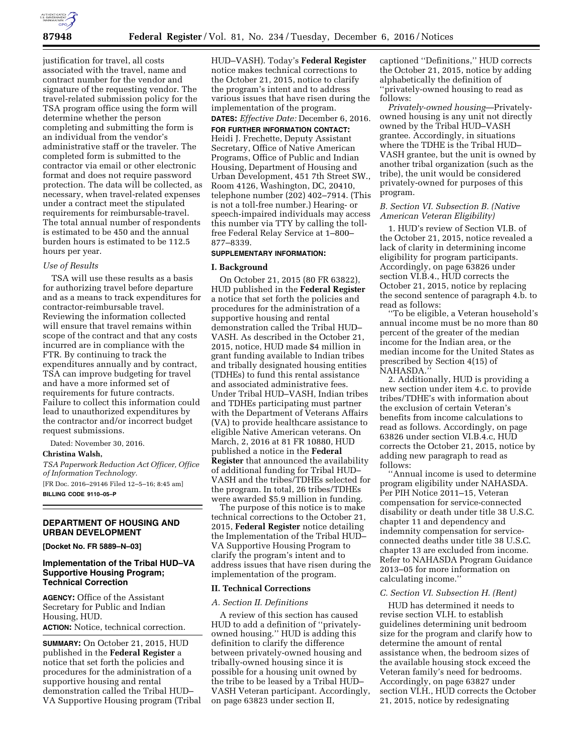

justification for travel, all costs associated with the travel, name and contract number for the vendor and signature of the requesting vendor. The travel-related submission policy for the TSA program office using the form will determine whether the person completing and submitting the form is an individual from the vendor's administrative staff or the traveler. The completed form is submitted to the contractor via email or other electronic format and does not require password protection. The data will be collected, as necessary, when travel-related expenses under a contract meet the stipulated requirements for reimbursable-travel. The total annual number of respondents is estimated to be 450 and the annual burden hours is estimated to be 112.5 hours per year.

## *Use of Results*

TSA will use these results as a basis for authorizing travel before departure and as a means to track expenditures for contractor-reimbursable travel. Reviewing the information collected will ensure that travel remains within scope of the contract and that any costs incurred are in compliance with the FTR. By continuing to track the expenditures annually and by contract, TSA can improve budgeting for travel and have a more informed set of requirements for future contracts. Failure to collect this information could lead to unauthorized expenditures by the contractor and/or incorrect budget request submissions.

Dated: November 30, 2016.

**Christina Walsh,** 

*TSA Paperwork Reduction Act Officer, Office of Information Technology.* 

[FR Doc. 2016–29146 Filed 12–5–16; 8:45 am] **BILLING CODE 9110–05–P** 

### **DEPARTMENT OF HOUSING AND URBAN DEVELOPMENT**

**[Docket No. FR 5889–N–03]** 

## **Implementation of the Tribal HUD–VA Supportive Housing Program; Technical Correction**

**AGENCY:** Office of the Assistant Secretary for Public and Indian Housing, HUD.

**ACTION:** Notice, technical correction.

**SUMMARY:** On October 21, 2015, HUD published in the **Federal Register** a notice that set forth the policies and procedures for the administration of a supportive housing and rental demonstration called the Tribal HUD– VA Supportive Housing program (Tribal HUD–VASH). Today's **Federal Register**  notice makes technical corrections to the October 21, 2015, notice to clarify the program's intent and to address various issues that have risen during the implementation of the program.

**DATES:** *Effective Date:* December 6, 2016.

**FOR FURTHER INFORMATION CONTACT:**  Heidi J. Frechette, Deputy Assistant Secretary, Office of Native American Programs, Office of Public and Indian Housing, Department of Housing and Urban Development, 451 7th Street SW., Room 4126, Washington, DC, 20410, telephone number (202) 402–7914. (This is not a toll-free number.) Hearing- or speech-impaired individuals may access this number via TTY by calling the tollfree Federal Relay Service at 1–800– 877–8339.

### **SUPPLEMENTARY INFORMATION:**

#### **I. Background**

On October 21, 2015 (80 FR 63822), HUD published in the **Federal Register**  a notice that set forth the policies and procedures for the administration of a supportive housing and rental demonstration called the Tribal HUD– VASH. As described in the October 21, 2015, notice, HUD made \$4 million in grant funding available to Indian tribes and tribally designated housing entities (TDHEs) to fund this rental assistance and associated administrative fees. Under Tribal HUD–VASH, Indian tribes and TDHEs participating must partner with the Department of Veterans Affairs (VA) to provide healthcare assistance to eligible Native American veterans. On March, 2, 2016 at 81 FR 10880, HUD published a notice in the **Federal Register** that announced the availability of additional funding for Tribal HUD– VASH and the tribes/TDHEs selected for the program. In total, 26 tribes/TDHEs were awarded \$5.9 million in funding.

The purpose of this notice is to make technical corrections to the October 21, 2015, **Federal Register** notice detailing the Implementation of the Tribal HUD– VA Supportive Housing Program to clarify the program's intent and to address issues that have risen during the implementation of the program.

### **II. Technical Corrections**

## *A. Section II. Definitions*

A review of this section has caused HUD to add a definition of ''privatelyowned housing.'' HUD is adding this definition to clarify the difference between privately-owned housing and tribally-owned housing since it is possible for a housing unit owned by the tribe to be leased by a Tribal HUD– VASH Veteran participant. Accordingly, on page 63823 under section II,

captioned ''Definitions,'' HUD corrects the October 21, 2015, notice by adding alphabetically the definition of 'privately-owned housing to read as follows:

*Privately-owned housing*—Privatelyowned housing is any unit not directly owned by the Tribal HUD–VASH grantee. Accordingly, in situations where the TDHE is the Tribal HUD– VASH grantee, but the unit is owned by another tribal organization (such as the tribe), the unit would be considered privately-owned for purposes of this program.

## *B. Section VI. Subsection B. (Native American Veteran Eligibility)*

1. HUD's review of Section VI.B. of the October 21, 2015, notice revealed a lack of clarity in determining income eligibility for program participants. Accordingly, on page 63826 under section VI.B.4., HUD corrects the October 21, 2015, notice by replacing the second sentence of paragraph 4.b. to read as follows:

''To be eligible, a Veteran household's annual income must be no more than 80 percent of the greater of the median income for the Indian area, or the median income for the United States as prescribed by Section 4(15) of NAHASDA.''

2. Additionally, HUD is providing a new section under item 4.c. to provide tribes/TDHE's with information about the exclusion of certain Veteran's benefits from income calculations to read as follows. Accordingly, on page 63826 under section VI.B.4.c, HUD corrects the October 21, 2015, notice by adding new paragraph to read as follows:

''Annual income is used to determine program eligibility under NAHASDA. Per PIH Notice 2011–15, Veteran compensation for service-connected disability or death under title 38 U.S.C. chapter 11 and dependency and indemnity compensation for serviceconnected deaths under title 38 U.S.C. chapter 13 are excluded from income. Refer to NAHASDA Program Guidance 2013–05 for more information on calculating income.''

#### *C. Section VI. Subsection H. (Rent)*

HUD has determined it needs to revise section VI.H. to establish guidelines determining unit bedroom size for the program and clarify how to determine the amount of rental assistance when, the bedroom sizes of the available housing stock exceed the Veteran family's need for bedrooms. Accordingly, on page 63827 under section VI.H., HUD corrects the October 21, 2015, notice by redesignating